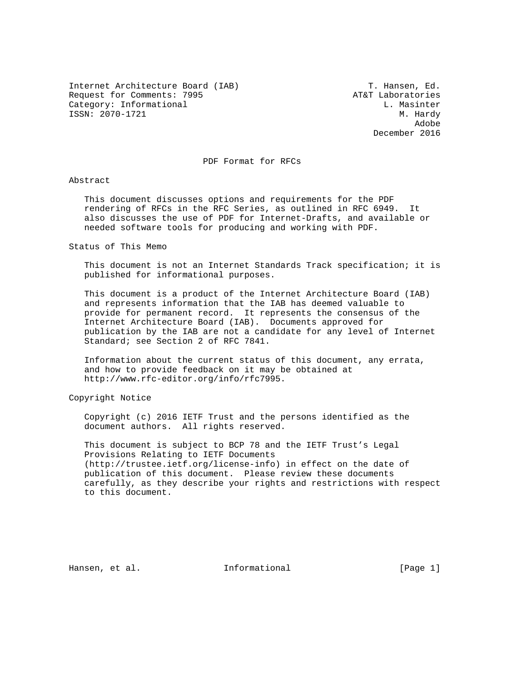Internet Architecture Board (IAB) T. Hansen, Ed. Request for Comments: 7995 AT&T Laboratories Category: Informational Category: L. Masinter ISSN: 2070-1721 M. Hardy

and the control of the control of the control of the control of the control of the control of the control of the control of the control of the control of the control of the control of the control of the control of the cont December 2016

PDF Format for RFCs

Abstract

 This document discusses options and requirements for the PDF rendering of RFCs in the RFC Series, as outlined in RFC 6949. It also discusses the use of PDF for Internet-Drafts, and available or needed software tools for producing and working with PDF.

Status of This Memo

 This document is not an Internet Standards Track specification; it is published for informational purposes.

 This document is a product of the Internet Architecture Board (IAB) and represents information that the IAB has deemed valuable to provide for permanent record. It represents the consensus of the Internet Architecture Board (IAB). Documents approved for publication by the IAB are not a candidate for any level of Internet Standard; see Section 2 of RFC 7841.

 Information about the current status of this document, any errata, and how to provide feedback on it may be obtained at http://www.rfc-editor.org/info/rfc7995.

Copyright Notice

 Copyright (c) 2016 IETF Trust and the persons identified as the document authors. All rights reserved.

 This document is subject to BCP 78 and the IETF Trust's Legal Provisions Relating to IETF Documents (http://trustee.ietf.org/license-info) in effect on the date of publication of this document. Please review these documents carefully, as they describe your rights and restrictions with respect to this document.

Hansen, et al. Informational [Page 1]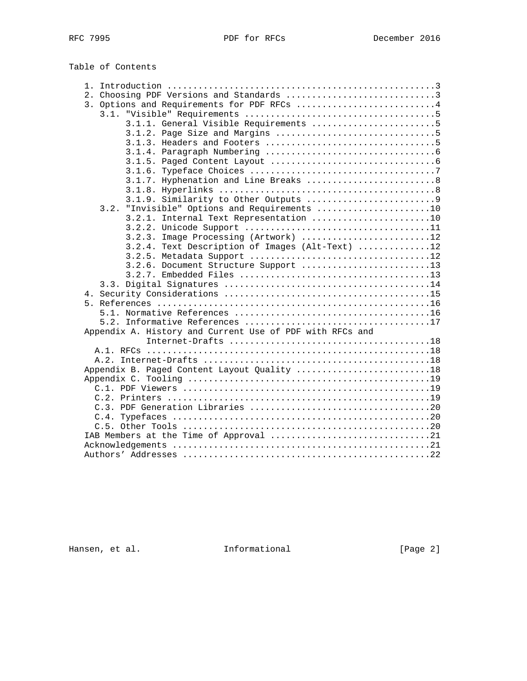Table of Contents

| 2. Choosing PDF Versions and Standards 3                 |
|----------------------------------------------------------|
| 3. Options and Requirements for PDF RFCs 4               |
|                                                          |
| 3.1.1. General Visible Requirements 5                    |
|                                                          |
|                                                          |
|                                                          |
|                                                          |
|                                                          |
|                                                          |
|                                                          |
|                                                          |
| 3.2. "Invisible" Options and Requirements 10             |
| 3.2.1. Internal Text Representation 10                   |
|                                                          |
| 3.2.3. Image Processing (Artwork) 12                     |
| 3.2.4. Text Description of Images (Alt-Text) 12          |
|                                                          |
| 3.2.6. Document Structure Support 13                     |
|                                                          |
|                                                          |
|                                                          |
|                                                          |
|                                                          |
|                                                          |
| Appendix A. History and Current Use of PDF with RFCs and |
|                                                          |
|                                                          |
|                                                          |
| Appendix B. Paged Content Layout Quality 18              |
|                                                          |
|                                                          |
|                                                          |
|                                                          |
|                                                          |
|                                                          |
|                                                          |
|                                                          |
|                                                          |

Hansen, et al. 1nformational 1999 [Page 2]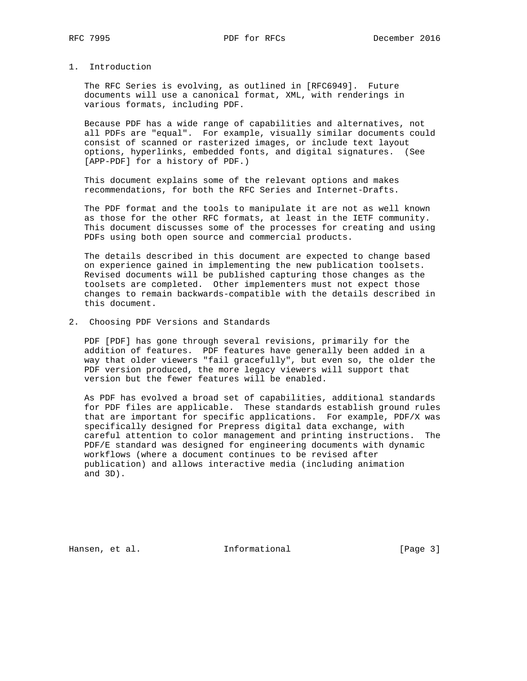# 1. Introduction

 The RFC Series is evolving, as outlined in [RFC6949]. Future documents will use a canonical format, XML, with renderings in various formats, including PDF.

 Because PDF has a wide range of capabilities and alternatives, not all PDFs are "equal". For example, visually similar documents could consist of scanned or rasterized images, or include text layout options, hyperlinks, embedded fonts, and digital signatures. (See [APP-PDF] for a history of PDF.)

 This document explains some of the relevant options and makes recommendations, for both the RFC Series and Internet-Drafts.

 The PDF format and the tools to manipulate it are not as well known as those for the other RFC formats, at least in the IETF community. This document discusses some of the processes for creating and using PDFs using both open source and commercial products.

 The details described in this document are expected to change based on experience gained in implementing the new publication toolsets. Revised documents will be published capturing those changes as the toolsets are completed. Other implementers must not expect those changes to remain backwards-compatible with the details described in this document.

2. Choosing PDF Versions and Standards

 PDF [PDF] has gone through several revisions, primarily for the addition of features. PDF features have generally been added in a way that older viewers "fail gracefully", but even so, the older the PDF version produced, the more legacy viewers will support that version but the fewer features will be enabled.

 As PDF has evolved a broad set of capabilities, additional standards for PDF files are applicable. These standards establish ground rules that are important for specific applications. For example, PDF/X was specifically designed for Prepress digital data exchange, with careful attention to color management and printing instructions. The PDF/E standard was designed for engineering documents with dynamic workflows (where a document continues to be revised after publication) and allows interactive media (including animation and 3D).

Hansen, et al. 1nformational 1999 [Page 3]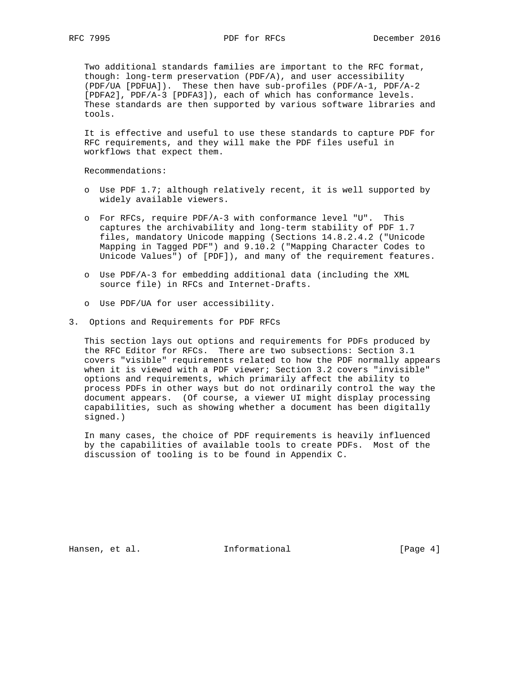Two additional standards families are important to the RFC format, though: long-term preservation (PDF/A), and user accessibility (PDF/UA [PDFUA]). These then have sub-profiles (PDF/A-1, PDF/A-2 [PDFA2], PDF/A-3 [PDFA3]), each of which has conformance levels. These standards are then supported by various software libraries and tools.

 It is effective and useful to use these standards to capture PDF for RFC requirements, and they will make the PDF files useful in workflows that expect them.

Recommendations:

- o Use PDF 1.7; although relatively recent, it is well supported by widely available viewers.
- o For RFCs, require PDF/A-3 with conformance level "U". This captures the archivability and long-term stability of PDF 1.7 files, mandatory Unicode mapping (Sections 14.8.2.4.2 ("Unicode Mapping in Tagged PDF") and 9.10.2 ("Mapping Character Codes to Unicode Values") of [PDF]), and many of the requirement features.
- o Use PDF/A-3 for embedding additional data (including the XML source file) in RFCs and Internet-Drafts.
- o Use PDF/UA for user accessibility.
- 3. Options and Requirements for PDF RFCs

 This section lays out options and requirements for PDFs produced by the RFC Editor for RFCs. There are two subsections: Section 3.1 covers "visible" requirements related to how the PDF normally appears when it is viewed with a PDF viewer; Section 3.2 covers "invisible" options and requirements, which primarily affect the ability to process PDFs in other ways but do not ordinarily control the way the document appears. (Of course, a viewer UI might display processing capabilities, such as showing whether a document has been digitally signed.)

 In many cases, the choice of PDF requirements is heavily influenced by the capabilities of available tools to create PDFs. Most of the discussion of tooling is to be found in Appendix C.

Hansen, et al. 1nformational 1999 [Page 4]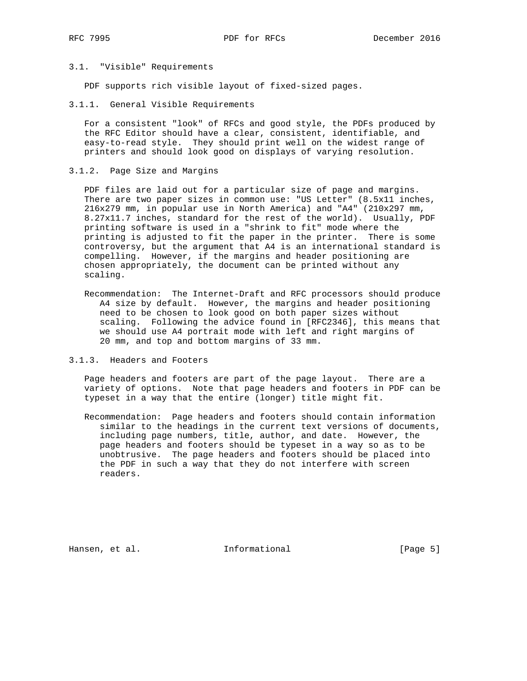# 3.1. "Visible" Requirements

PDF supports rich visible layout of fixed-sized pages.

3.1.1. General Visible Requirements

 For a consistent "look" of RFCs and good style, the PDFs produced by the RFC Editor should have a clear, consistent, identifiable, and easy-to-read style. They should print well on the widest range of printers and should look good on displays of varying resolution.

3.1.2. Page Size and Margins

 PDF files are laid out for a particular size of page and margins. There are two paper sizes in common use: "US Letter" (8.5x11 inches, 216x279 mm, in popular use in North America) and "A4" (210x297 mm, 8.27x11.7 inches, standard for the rest of the world). Usually, PDF printing software is used in a "shrink to fit" mode where the printing is adjusted to fit the paper in the printer. There is some controversy, but the argument that A4 is an international standard is compelling. However, if the margins and header positioning are chosen appropriately, the document can be printed without any scaling.

- Recommendation: The Internet-Draft and RFC processors should produce A4 size by default. However, the margins and header positioning need to be chosen to look good on both paper sizes without scaling. Following the advice found in [RFC2346], this means that we should use A4 portrait mode with left and right margins of 20 mm, and top and bottom margins of 33 mm.
- 3.1.3. Headers and Footers

 Page headers and footers are part of the page layout. There are a variety of options. Note that page headers and footers in PDF can be typeset in a way that the entire (longer) title might fit.

 Recommendation: Page headers and footers should contain information similar to the headings in the current text versions of documents, including page numbers, title, author, and date. However, the page headers and footers should be typeset in a way so as to be unobtrusive. The page headers and footers should be placed into the PDF in such a way that they do not interfere with screen readers.

Hansen, et al. 10 Informational 1999 [Page 5]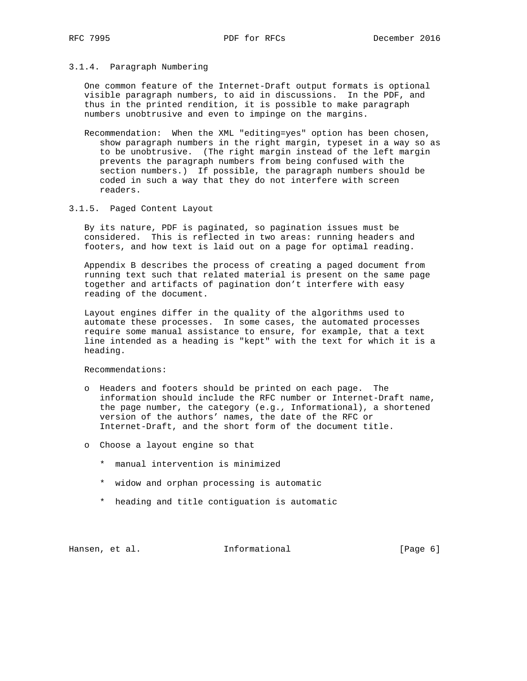### 3.1.4. Paragraph Numbering

 One common feature of the Internet-Draft output formats is optional visible paragraph numbers, to aid in discussions. In the PDF, and thus in the printed rendition, it is possible to make paragraph numbers unobtrusive and even to impinge on the margins.

 Recommendation: When the XML "editing=yes" option has been chosen, show paragraph numbers in the right margin, typeset in a way so as to be unobtrusive. (The right margin instead of the left margin prevents the paragraph numbers from being confused with the section numbers.) If possible, the paragraph numbers should be coded in such a way that they do not interfere with screen readers.

### 3.1.5. Paged Content Layout

 By its nature, PDF is paginated, so pagination issues must be considered. This is reflected in two areas: running headers and footers, and how text is laid out on a page for optimal reading.

 Appendix B describes the process of creating a paged document from running text such that related material is present on the same page together and artifacts of pagination don't interfere with easy reading of the document.

 Layout engines differ in the quality of the algorithms used to automate these processes. In some cases, the automated processes require some manual assistance to ensure, for example, that a text line intended as a heading is "kept" with the text for which it is a heading.

Recommendations:

- o Headers and footers should be printed on each page. The information should include the RFC number or Internet-Draft name, the page number, the category (e.g., Informational), a shortened version of the authors' names, the date of the RFC or Internet-Draft, and the short form of the document title.
- o Choose a layout engine so that
	- \* manual intervention is minimized
	- \* widow and orphan processing is automatic
	- \* heading and title contiguation is automatic

Hansen, et al. 1nformational 1999 [Page 6]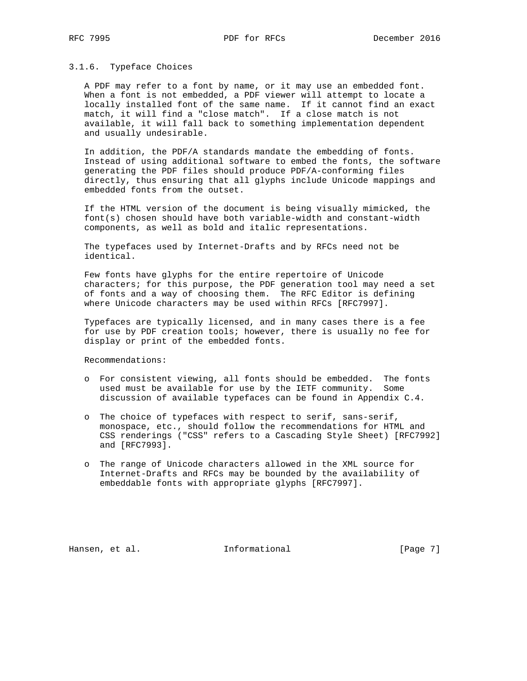#### 3.1.6. Typeface Choices

 A PDF may refer to a font by name, or it may use an embedded font. When a font is not embedded, a PDF viewer will attempt to locate a locally installed font of the same name. If it cannot find an exact match, it will find a "close match". If a close match is not available, it will fall back to something implementation dependent and usually undesirable.

 In addition, the PDF/A standards mandate the embedding of fonts. Instead of using additional software to embed the fonts, the software generating the PDF files should produce PDF/A-conforming files directly, thus ensuring that all glyphs include Unicode mappings and embedded fonts from the outset.

 If the HTML version of the document is being visually mimicked, the font(s) chosen should have both variable-width and constant-width components, as well as bold and italic representations.

 The typefaces used by Internet-Drafts and by RFCs need not be identical.

 Few fonts have glyphs for the entire repertoire of Unicode characters; for this purpose, the PDF generation tool may need a set of fonts and a way of choosing them. The RFC Editor is defining where Unicode characters may be used within RFCs [RFC7997].

 Typefaces are typically licensed, and in many cases there is a fee for use by PDF creation tools; however, there is usually no fee for display or print of the embedded fonts.

Recommendations:

- o For consistent viewing, all fonts should be embedded. The fonts used must be available for use by the IETF community. Some discussion of available typefaces can be found in Appendix C.4.
- o The choice of typefaces with respect to serif, sans-serif, monospace, etc., should follow the recommendations for HTML and CSS renderings ("CSS" refers to a Cascading Style Sheet) [RFC7992] and [RFC7993].
- o The range of Unicode characters allowed in the XML source for Internet-Drafts and RFCs may be bounded by the availability of embeddable fonts with appropriate glyphs [RFC7997].

Hansen, et al. 10 Informational 1999 [Page 7]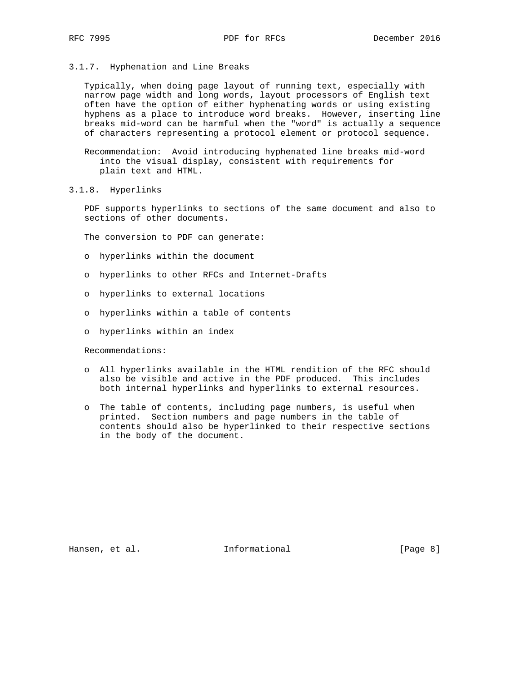3.1.7. Hyphenation and Line Breaks

 Typically, when doing page layout of running text, especially with narrow page width and long words, layout processors of English text often have the option of either hyphenating words or using existing hyphens as a place to introduce word breaks. However, inserting line breaks mid-word can be harmful when the "word" is actually a sequence of characters representing a protocol element or protocol sequence.

 Recommendation: Avoid introducing hyphenated line breaks mid-word into the visual display, consistent with requirements for plain text and HTML.

3.1.8. Hyperlinks

 PDF supports hyperlinks to sections of the same document and also to sections of other documents.

The conversion to PDF can generate:

- o hyperlinks within the document
- o hyperlinks to other RFCs and Internet-Drafts
- o hyperlinks to external locations
- o hyperlinks within a table of contents
- o hyperlinks within an index

Recommendations:

- o All hyperlinks available in the HTML rendition of the RFC should also be visible and active in the PDF produced. This includes both internal hyperlinks and hyperlinks to external resources.
- o The table of contents, including page numbers, is useful when printed. Section numbers and page numbers in the table of contents should also be hyperlinked to their respective sections in the body of the document.

Hansen, et al. 1nformational 1999 [Page 8]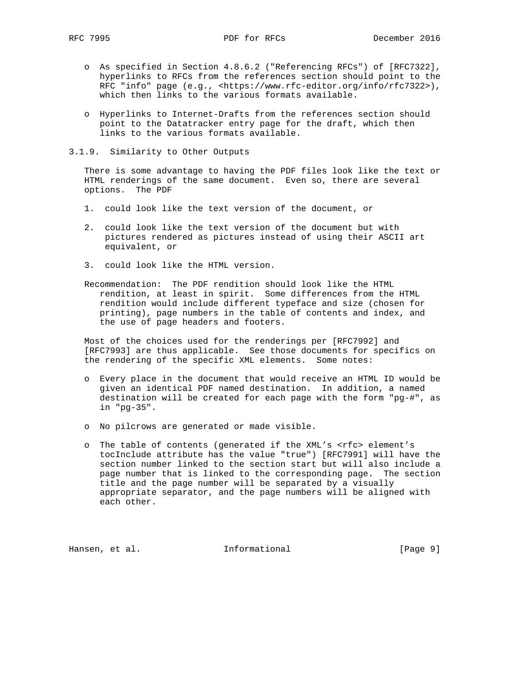- o As specified in Section 4.8.6.2 ("Referencing RFCs") of [RFC7322], hyperlinks to RFCs from the references section should point to the RFC "info" page (e.g., <https://www.rfc-editor.org/info/rfc7322>), which then links to the various formats available.
- o Hyperlinks to Internet-Drafts from the references section should point to the Datatracker entry page for the draft, which then links to the various formats available.
- 3.1.9. Similarity to Other Outputs

 There is some advantage to having the PDF files look like the text or HTML renderings of the same document. Even so, there are several options. The PDF

- 1. could look like the text version of the document, or
- 2. could look like the text version of the document but with pictures rendered as pictures instead of using their ASCII art equivalent, or
- 3. could look like the HTML version.
- Recommendation: The PDF rendition should look like the HTML rendition, at least in spirit. Some differences from the HTML rendition would include different typeface and size (chosen for printing), page numbers in the table of contents and index, and the use of page headers and footers.

 Most of the choices used for the renderings per [RFC7992] and [RFC7993] are thus applicable. See those documents for specifics on the rendering of the specific XML elements. Some notes:

- o Every place in the document that would receive an HTML ID would be given an identical PDF named destination. In addition, a named destination will be created for each page with the form "pg-#", as in "pg-35".
- o No pilcrows are generated or made visible.
- o The table of contents (generated if the XML's <rfc> element's tocInclude attribute has the value "true") [RFC7991] will have the section number linked to the section start but will also include a page number that is linked to the corresponding page. The section title and the page number will be separated by a visually appropriate separator, and the page numbers will be aligned with each other.

Hansen, et al. 1nformational 1999 [Page 9]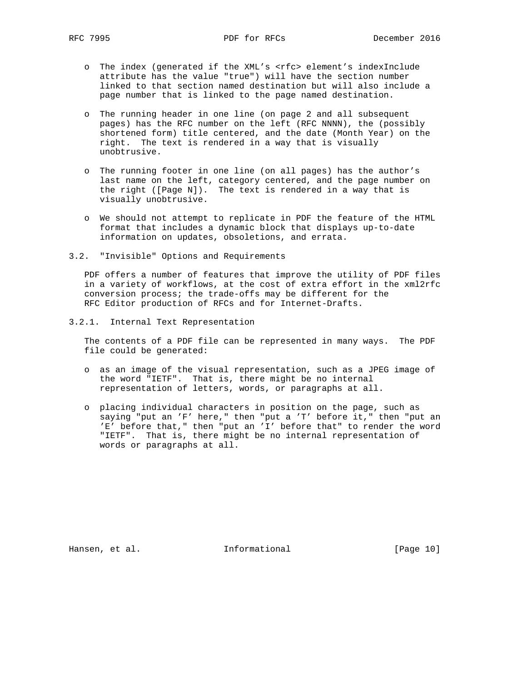- o The index (generated if the XML's <rfc> element's indexInclude attribute has the value "true") will have the section number linked to that section named destination but will also include a page number that is linked to the page named destination.
- o The running header in one line (on page 2 and all subsequent pages) has the RFC number on the left (RFC NNNN), the (possibly shortened form) title centered, and the date (Month Year) on the right. The text is rendered in a way that is visually unobtrusive.
- o The running footer in one line (on all pages) has the author's last name on the left, category centered, and the page number on the right ([Page N]). The text is rendered in a way that is visually unobtrusive.
- o We should not attempt to replicate in PDF the feature of the HTML format that includes a dynamic block that displays up-to-date information on updates, obsoletions, and errata.
- 3.2. "Invisible" Options and Requirements

 PDF offers a number of features that improve the utility of PDF files in a variety of workflows, at the cost of extra effort in the xml2rfc conversion process; the trade-offs may be different for the RFC Editor production of RFCs and for Internet-Drafts.

3.2.1. Internal Text Representation

 The contents of a PDF file can be represented in many ways. The PDF file could be generated:

- o as an image of the visual representation, such as a JPEG image of the word "IETF". That is, there might be no internal representation of letters, words, or paragraphs at all.
- o placing individual characters in position on the page, such as saying "put an 'F' here," then "put a 'T' before it," then "put an 'E' before that," then "put an 'I' before that" to render the word "IETF". That is, there might be no internal representation of words or paragraphs at all.

Hansen, et al. 10 Informational [Page 10]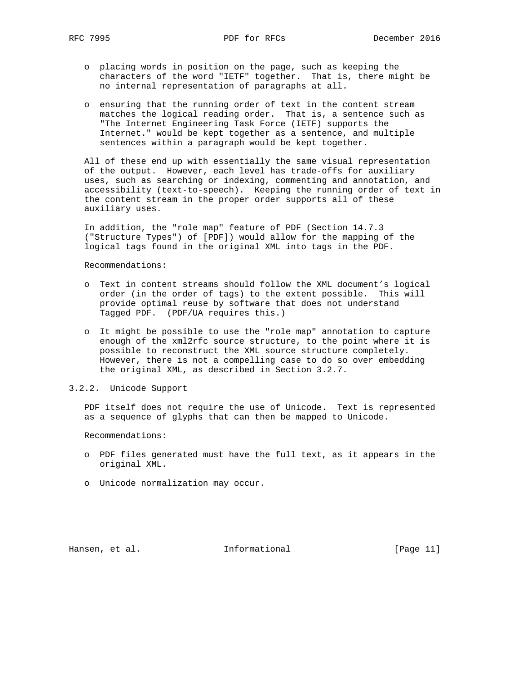- o placing words in position on the page, such as keeping the characters of the word "IETF" together. That is, there might be no internal representation of paragraphs at all.
- o ensuring that the running order of text in the content stream matches the logical reading order. That is, a sentence such as "The Internet Engineering Task Force (IETF) supports the Internet." would be kept together as a sentence, and multiple sentences within a paragraph would be kept together.

 All of these end up with essentially the same visual representation of the output. However, each level has trade-offs for auxiliary uses, such as searching or indexing, commenting and annotation, and accessibility (text-to-speech). Keeping the running order of text in the content stream in the proper order supports all of these auxiliary uses.

 In addition, the "role map" feature of PDF (Section 14.7.3 ("Structure Types") of [PDF]) would allow for the mapping of the logical tags found in the original XML into tags in the PDF.

Recommendations:

- o Text in content streams should follow the XML document's logical order (in the order of tags) to the extent possible. This will provide optimal reuse by software that does not understand Tagged PDF. (PDF/UA requires this.)
- o It might be possible to use the "role map" annotation to capture enough of the xml2rfc source structure, to the point where it is possible to reconstruct the XML source structure completely. However, there is not a compelling case to do so over embedding the original XML, as described in Section 3.2.7.

#### 3.2.2. Unicode Support

 PDF itself does not require the use of Unicode. Text is represented as a sequence of glyphs that can then be mapped to Unicode.

Recommendations:

- o PDF files generated must have the full text, as it appears in the original XML.
- o Unicode normalization may occur.

Hansen, et al. 10 methormational [Page 11]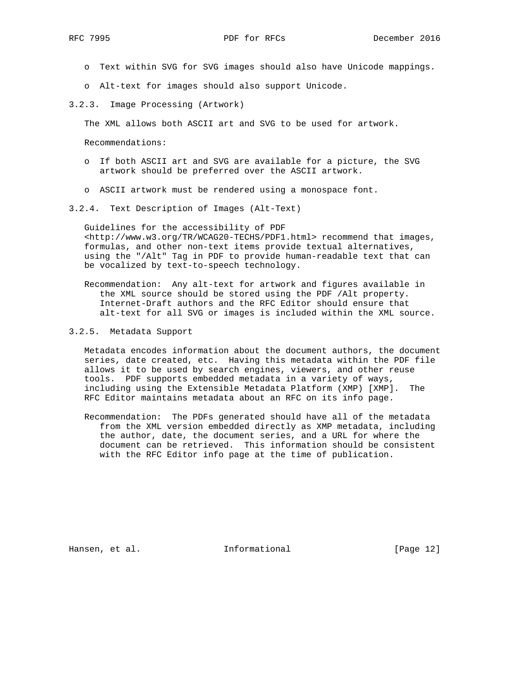- o Text within SVG for SVG images should also have Unicode mappings.
- o Alt-text for images should also support Unicode.
- 3.2.3. Image Processing (Artwork)

The XML allows both ASCII art and SVG to be used for artwork.

Recommendations:

- o If both ASCII art and SVG are available for a picture, the SVG artwork should be preferred over the ASCII artwork.
- o ASCII artwork must be rendered using a monospace font.
- 3.2.4. Text Description of Images (Alt-Text)

 Guidelines for the accessibility of PDF <http://www.w3.org/TR/WCAG20-TECHS/PDF1.html> recommend that images, formulas, and other non-text items provide textual alternatives, using the "/Alt" Tag in PDF to provide human-readable text that can be vocalized by text-to-speech technology.

 Recommendation: Any alt-text for artwork and figures available in the XML source should be stored using the PDF /Alt property. Internet-Draft authors and the RFC Editor should ensure that alt-text for all SVG or images is included within the XML source.

#### 3.2.5. Metadata Support

 Metadata encodes information about the document authors, the document series, date created, etc. Having this metadata within the PDF file allows it to be used by search engines, viewers, and other reuse tools. PDF supports embedded metadata in a variety of ways, including using the Extensible Metadata Platform (XMP) [XMP]. The RFC Editor maintains metadata about an RFC on its info page.

 Recommendation: The PDFs generated should have all of the metadata from the XML version embedded directly as XMP metadata, including the author, date, the document series, and a URL for where the document can be retrieved. This information should be consistent with the RFC Editor info page at the time of publication.

Hansen, et al. 10 Informational [Page 12]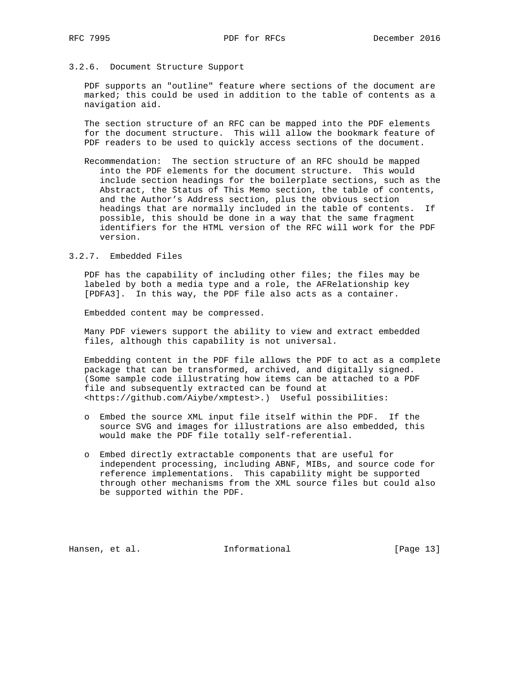### 3.2.6. Document Structure Support

 PDF supports an "outline" feature where sections of the document are marked; this could be used in addition to the table of contents as a navigation aid.

 The section structure of an RFC can be mapped into the PDF elements for the document structure. This will allow the bookmark feature of PDF readers to be used to quickly access sections of the document.

 Recommendation: The section structure of an RFC should be mapped into the PDF elements for the document structure. This would include section headings for the boilerplate sections, such as the Abstract, the Status of This Memo section, the table of contents, and the Author's Address section, plus the obvious section headings that are normally included in the table of contents. If possible, this should be done in a way that the same fragment identifiers for the HTML version of the RFC will work for the PDF version.

### 3.2.7. Embedded Files

 PDF has the capability of including other files; the files may be labeled by both a media type and a role, the AFRelationship key [PDFA3]. In this way, the PDF file also acts as a container.

Embedded content may be compressed.

 Many PDF viewers support the ability to view and extract embedded files, although this capability is not universal.

 Embedding content in the PDF file allows the PDF to act as a complete package that can be transformed, archived, and digitally signed. (Some sample code illustrating how items can be attached to a PDF file and subsequently extracted can be found at <https://github.com/Aiybe/xmptest>.) Useful possibilities:

- o Embed the source XML input file itself within the PDF. If the source SVG and images for illustrations are also embedded, this would make the PDF file totally self-referential.
- o Embed directly extractable components that are useful for independent processing, including ABNF, MIBs, and source code for reference implementations. This capability might be supported through other mechanisms from the XML source files but could also be supported within the PDF.

Hansen, et al. 100 Informational [Page 13]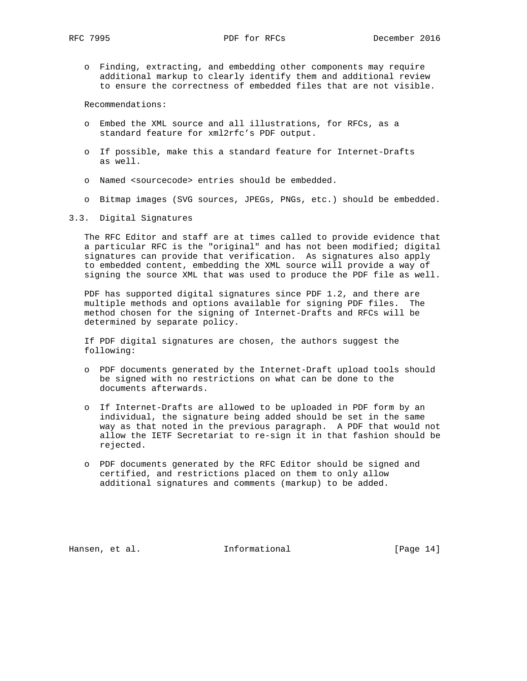o Finding, extracting, and embedding other components may require additional markup to clearly identify them and additional review to ensure the correctness of embedded files that are not visible.

Recommendations:

- o Embed the XML source and all illustrations, for RFCs, as a standard feature for xml2rfc's PDF output.
- o If possible, make this a standard feature for Internet-Drafts as well.
- o Named <sourcecode> entries should be embedded.
- o Bitmap images (SVG sources, JPEGs, PNGs, etc.) should be embedded.
- 3.3. Digital Signatures

 The RFC Editor and staff are at times called to provide evidence that a particular RFC is the "original" and has not been modified; digital signatures can provide that verification. As signatures also apply to embedded content, embedding the XML source will provide a way of signing the source XML that was used to produce the PDF file as well.

 PDF has supported digital signatures since PDF 1.2, and there are multiple methods and options available for signing PDF files. The method chosen for the signing of Internet-Drafts and RFCs will be determined by separate policy.

 If PDF digital signatures are chosen, the authors suggest the following:

- o PDF documents generated by the Internet-Draft upload tools should be signed with no restrictions on what can be done to the documents afterwards.
- o If Internet-Drafts are allowed to be uploaded in PDF form by an individual, the signature being added should be set in the same way as that noted in the previous paragraph. A PDF that would not allow the IETF Secretariat to re-sign it in that fashion should be rejected.
- o PDF documents generated by the RFC Editor should be signed and certified, and restrictions placed on them to only allow additional signatures and comments (markup) to be added.

Hansen, et al. 10 Informational [Page 14]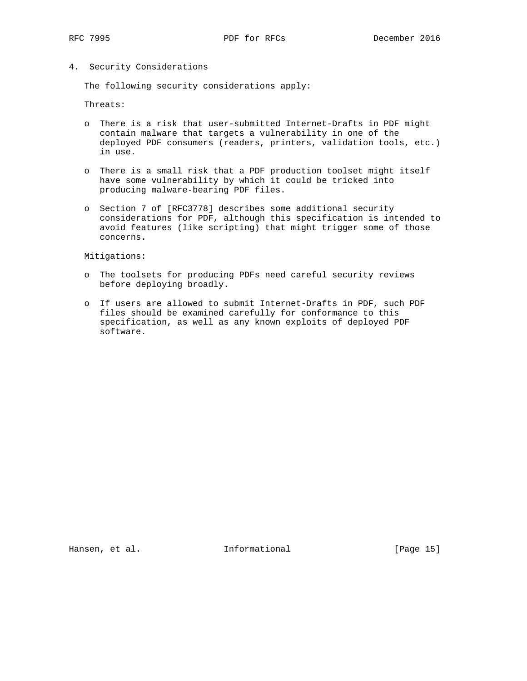4. Security Considerations

The following security considerations apply:

Threats:

- o There is a risk that user-submitted Internet-Drafts in PDF might contain malware that targets a vulnerability in one of the deployed PDF consumers (readers, printers, validation tools, etc.) in use.
- o There is a small risk that a PDF production toolset might itself have some vulnerability by which it could be tricked into producing malware-bearing PDF files.
- o Section 7 of [RFC3778] describes some additional security considerations for PDF, although this specification is intended to avoid features (like scripting) that might trigger some of those concerns.

Mitigations:

- o The toolsets for producing PDFs need careful security reviews before deploying broadly.
- o If users are allowed to submit Internet-Drafts in PDF, such PDF files should be examined carefully for conformance to this specification, as well as any known exploits of deployed PDF software.

Hansen, et al. 10 Informational [Page 15]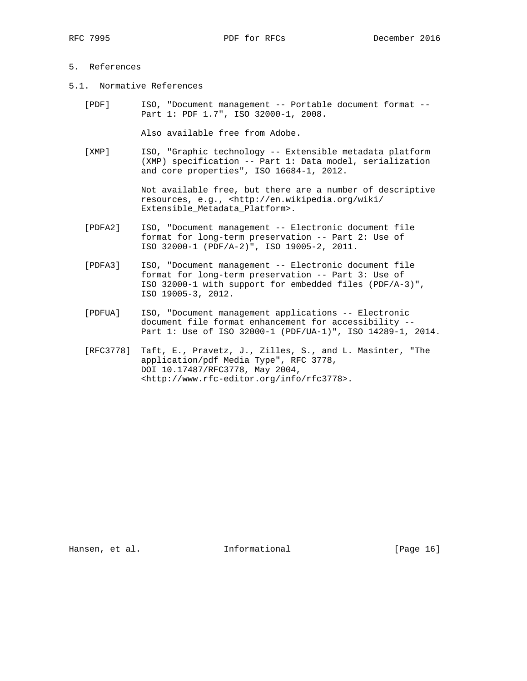- 5. References
- 5.1. Normative References
	- [PDF] ISO, "Document management -- Portable document format -- Part 1: PDF 1.7", ISO 32000-1, 2008.

Also available free from Adobe.

 [XMP] ISO, "Graphic technology -- Extensible metadata platform (XMP) specification -- Part 1: Data model, serialization and core properties", ISO 16684-1, 2012.

> Not available free, but there are a number of descriptive resources, e.g., <http://en.wikipedia.org/wiki/ Extensible\_Metadata\_Platform>.

- [PDFA2] ISO, "Document management -- Electronic document file format for long-term preservation -- Part 2: Use of ISO 32000-1 (PDF/A-2)", ISO 19005-2, 2011.
- [PDFA3] ISO, "Document management -- Electronic document file format for long-term preservation -- Part 3: Use of ISO 32000-1 with support for embedded files (PDF/A-3)", ISO 19005-3, 2012.
- [PDFUA] ISO, "Document management applications -- Electronic document file format enhancement for accessibility -- Part 1: Use of ISO 32000-1 (PDF/UA-1)", ISO 14289-1, 2014.
- [RFC3778] Taft, E., Pravetz, J., Zilles, S., and L. Masinter, "The application/pdf Media Type", RFC 3778, DOI 10.17487/RFC3778, May 2004, <http://www.rfc-editor.org/info/rfc3778>.

Hansen, et al. 10 Informational [Page 16]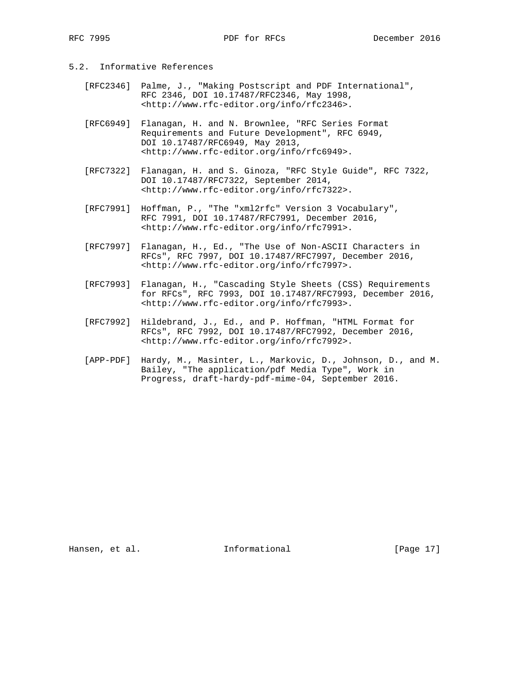# 5.2. Informative References

- [RFC2346] Palme, J., "Making Postscript and PDF International", RFC 2346, DOI 10.17487/RFC2346, May 1998, <http://www.rfc-editor.org/info/rfc2346>.
- [RFC6949] Flanagan, H. and N. Brownlee, "RFC Series Format Requirements and Future Development", RFC 6949, DOI 10.17487/RFC6949, May 2013, <http://www.rfc-editor.org/info/rfc6949>.
- [RFC7322] Flanagan, H. and S. Ginoza, "RFC Style Guide", RFC 7322, DOI 10.17487/RFC7322, September 2014, <http://www.rfc-editor.org/info/rfc7322>.
- [RFC7991] Hoffman, P., "The "xml2rfc" Version 3 Vocabulary", RFC 7991, DOI 10.17487/RFC7991, December 2016, <http://www.rfc-editor.org/info/rfc7991>.
- [RFC7997] Flanagan, H., Ed., "The Use of Non-ASCII Characters in RFCs", RFC 7997, DOI 10.17487/RFC7997, December 2016, <http://www.rfc-editor.org/info/rfc7997>.
- [RFC7993] Flanagan, H., "Cascading Style Sheets (CSS) Requirements for RFCs", RFC 7993, DOI 10.17487/RFC7993, December 2016, <http://www.rfc-editor.org/info/rfc7993>.
- [RFC7992] Hildebrand, J., Ed., and P. Hoffman, "HTML Format for RFCs", RFC 7992, DOI 10.17487/RFC7992, December 2016, <http://www.rfc-editor.org/info/rfc7992>.
- [APP-PDF] Hardy, M., Masinter, L., Markovic, D., Johnson, D., and M. Bailey, "The application/pdf Media Type", Work in Progress, draft-hardy-pdf-mime-04, September 2016.

Hansen, et al. 100 mm informational [Page 17]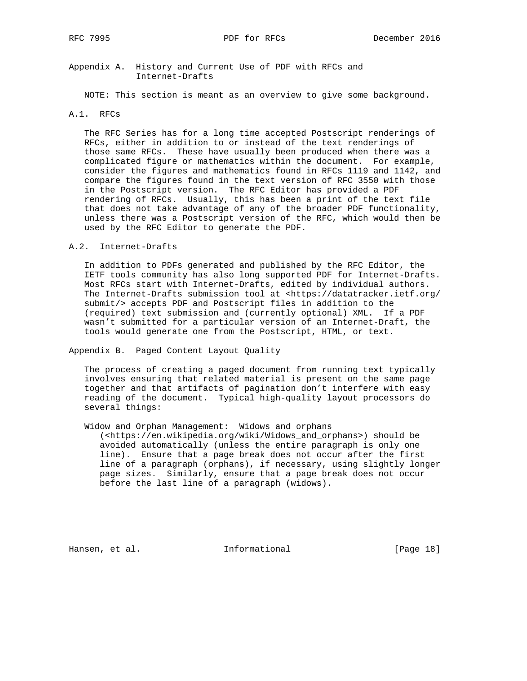Appendix A. History and Current Use of PDF with RFCs and Internet-Drafts

NOTE: This section is meant as an overview to give some background.

A.1. RFCs

 The RFC Series has for a long time accepted Postscript renderings of RFCs, either in addition to or instead of the text renderings of those same RFCs. These have usually been produced when there was a complicated figure or mathematics within the document. For example, consider the figures and mathematics found in RFCs 1119 and 1142, and compare the figures found in the text version of RFC 3550 with those in the Postscript version. The RFC Editor has provided a PDF rendering of RFCs. Usually, this has been a print of the text file that does not take advantage of any of the broader PDF functionality, unless there was a Postscript version of the RFC, which would then be used by the RFC Editor to generate the PDF.

A.2. Internet-Drafts

 In addition to PDFs generated and published by the RFC Editor, the IETF tools community has also long supported PDF for Internet-Drafts. Most RFCs start with Internet-Drafts, edited by individual authors. The Internet-Drafts submission tool at <https://datatracker.ietf.org/ submit/> accepts PDF and Postscript files in addition to the (required) text submission and (currently optional) XML. If a PDF wasn't submitted for a particular version of an Internet-Draft, the tools would generate one from the Postscript, HTML, or text.

Appendix B. Paged Content Layout Quality

 The process of creating a paged document from running text typically involves ensuring that related material is present on the same page together and that artifacts of pagination don't interfere with easy reading of the document. Typical high-quality layout processors do several things:

Widow and Orphan Management: Widows and orphans

 (<https://en.wikipedia.org/wiki/Widows\_and\_orphans>) should be avoided automatically (unless the entire paragraph is only one line). Ensure that a page break does not occur after the first line of a paragraph (orphans), if necessary, using slightly longer page sizes. Similarly, ensure that a page break does not occur before the last line of a paragraph (widows).

Hansen, et al. 10 Informational [Page 18]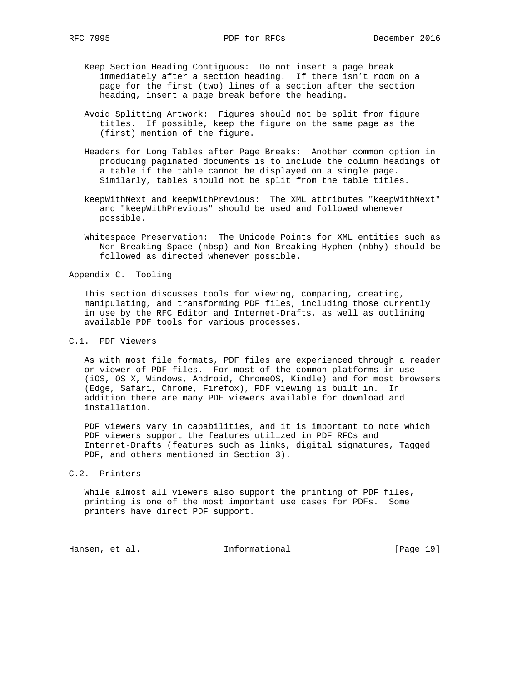- Keep Section Heading Contiguous: Do not insert a page break immediately after a section heading. If there isn't room on a page for the first (two) lines of a section after the section heading, insert a page break before the heading.
- Avoid Splitting Artwork: Figures should not be split from figure titles. If possible, keep the figure on the same page as the (first) mention of the figure.
- Headers for Long Tables after Page Breaks: Another common option in producing paginated documents is to include the column headings of a table if the table cannot be displayed on a single page. Similarly, tables should not be split from the table titles.
- keepWithNext and keepWithPrevious: The XML attributes "keepWithNext" and "keepWithPrevious" should be used and followed whenever possible.
- Whitespace Preservation: The Unicode Points for XML entities such as Non-Breaking Space (nbsp) and Non-Breaking Hyphen (nbhy) should be followed as directed whenever possible.

Appendix C. Tooling

 This section discusses tools for viewing, comparing, creating, manipulating, and transforming PDF files, including those currently in use by the RFC Editor and Internet-Drafts, as well as outlining available PDF tools for various processes.

### C.1. PDF Viewers

 As with most file formats, PDF files are experienced through a reader or viewer of PDF files. For most of the common platforms in use (iOS, OS X, Windows, Android, ChromeOS, Kindle) and for most browsers (Edge, Safari, Chrome, Firefox), PDF viewing is built in. In addition there are many PDF viewers available for download and installation.

 PDF viewers vary in capabilities, and it is important to note which PDF viewers support the features utilized in PDF RFCs and Internet-Drafts (features such as links, digital signatures, Tagged PDF, and others mentioned in Section 3).

## C.2. Printers

 While almost all viewers also support the printing of PDF files, printing is one of the most important use cases for PDFs. Some printers have direct PDF support.

Hansen, et al. 10 Informational [Page 19]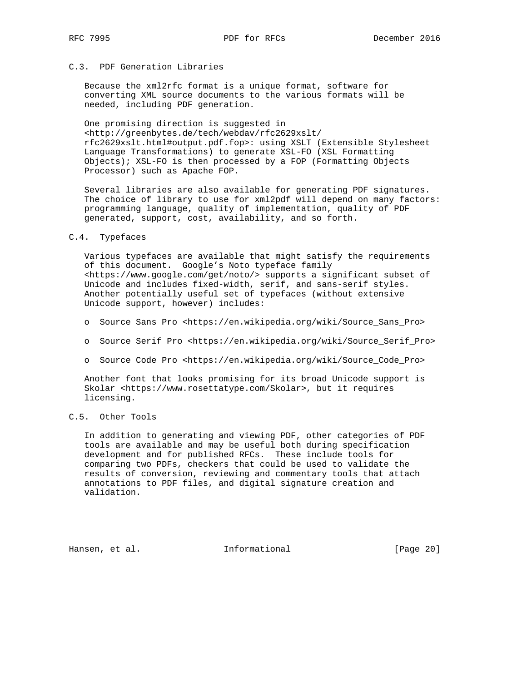# C.3. PDF Generation Libraries

 Because the xml2rfc format is a unique format, software for converting XML source documents to the various formats will be needed, including PDF generation.

 One promising direction is suggested in <http://greenbytes.de/tech/webdav/rfc2629xslt/ rfc2629xslt.html#output.pdf.fop>: using XSLT (Extensible Stylesheet Language Transformations) to generate XSL-FO (XSL Formatting Objects); XSL-FO is then processed by a FOP (Formatting Objects Processor) such as Apache FOP.

 Several libraries are also available for generating PDF signatures. The choice of library to use for xml2pdf will depend on many factors: programming language, quality of implementation, quality of PDF generated, support, cost, availability, and so forth.

### C.4. Typefaces

 Various typefaces are available that might satisfy the requirements of this document. Google's Noto typeface family <https://www.google.com/get/noto/> supports a significant subset of Unicode and includes fixed-width, serif, and sans-serif styles. Another potentially useful set of typefaces (without extensive Unicode support, however) includes:

- o Source Sans Pro <https://en.wikipedia.org/wiki/Source\_Sans\_Pro>
- o Source Serif Pro <https://en.wikipedia.org/wiki/Source\_Serif\_Pro>
- o Source Code Pro <https://en.wikipedia.org/wiki/Source\_Code\_Pro>

 Another font that looks promising for its broad Unicode support is Skolar <https://www.rosettatype.com/Skolar>, but it requires licensing.

## C.5. Other Tools

 In addition to generating and viewing PDF, other categories of PDF tools are available and may be useful both during specification development and for published RFCs. These include tools for comparing two PDFs, checkers that could be used to validate the results of conversion, reviewing and commentary tools that attach annotations to PDF files, and digital signature creation and validation.

Hansen, et al. 100 mm informational [Page 20]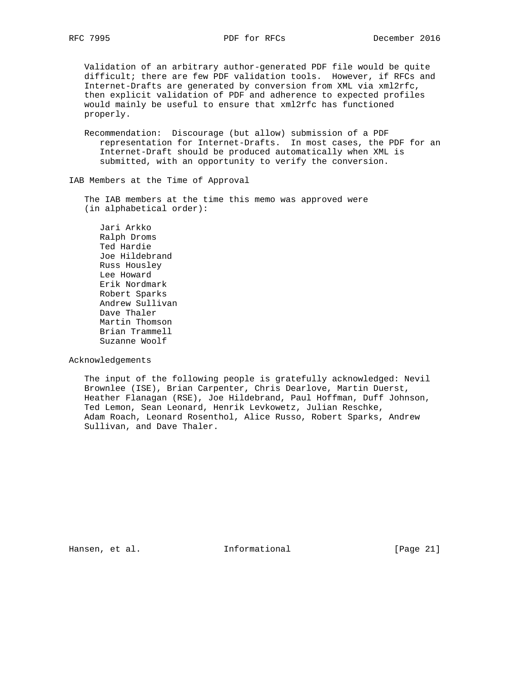Validation of an arbitrary author-generated PDF file would be quite difficult; there are few PDF validation tools. However, if RFCs and Internet-Drafts are generated by conversion from XML via xml2rfc, then explicit validation of PDF and adherence to expected profiles would mainly be useful to ensure that xml2rfc has functioned properly.

 Recommendation: Discourage (but allow) submission of a PDF representation for Internet-Drafts. In most cases, the PDF for an Internet-Draft should be produced automatically when XML is submitted, with an opportunity to verify the conversion.

IAB Members at the Time of Approval

 The IAB members at the time this memo was approved were (in alphabetical order):

 Jari Arkko Ralph Droms Ted Hardie Joe Hildebrand Russ Housley Lee Howard Erik Nordmark Robert Sparks Andrew Sullivan Dave Thaler Martin Thomson Brian Trammell Suzanne Woolf

Acknowledgements

 The input of the following people is gratefully acknowledged: Nevil Brownlee (ISE), Brian Carpenter, Chris Dearlove, Martin Duerst, Heather Flanagan (RSE), Joe Hildebrand, Paul Hoffman, Duff Johnson, Ted Lemon, Sean Leonard, Henrik Levkowetz, Julian Reschke, Adam Roach, Leonard Rosenthol, Alice Russo, Robert Sparks, Andrew Sullivan, and Dave Thaler.

Hansen, et al. 1nformational [Page 21]